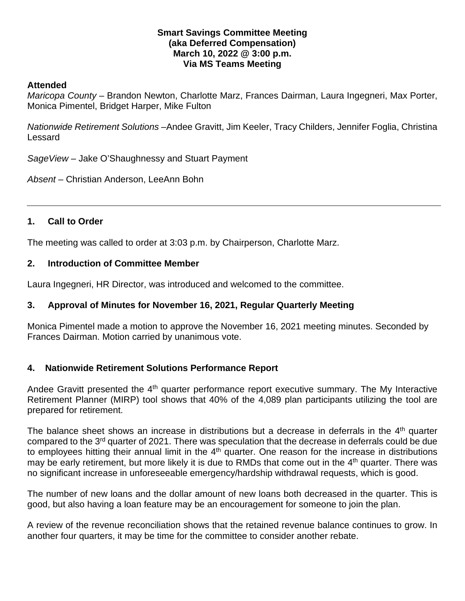### **Smart Savings Committee Meeting (aka Deferred Compensation) March 10, 2022 @ 3:00 p.m. Via MS Teams Meeting**

### **Attended**

*Maricopa County* – Brandon Newton, Charlotte Marz, Frances Dairman, Laura Ingegneri, Max Porter, Monica Pimentel, Bridget Harper, Mike Fulton

*Nationwide Retirement Solutions* –Andee Gravitt, Jim Keeler, Tracy Childers, Jennifer Foglia, Christina Lessard

*SageView* – Jake O'Shaughnessy and Stuart Payment

*Absent* – Christian Anderson, LeeAnn Bohn

# **1. Call to Order**

The meeting was called to order at 3:03 p.m. by Chairperson, Charlotte Marz.

## **2. Introduction of Committee Member**

Laura Ingegneri, HR Director, was introduced and welcomed to the committee.

# **3. Approval of Minutes for November 16, 2021, Regular Quarterly Meeting**

Monica Pimentel made a motion to approve the November 16, 2021 meeting minutes. Seconded by Frances Dairman. Motion carried by unanimous vote.

# **4. Nationwide Retirement Solutions Performance Report**

Andee Gravitt presented the 4<sup>th</sup> quarter performance report executive summary. The My Interactive Retirement Planner (MIRP) tool shows that 40% of the 4,089 plan participants utilizing the tool are prepared for retirement.

The balance sheet shows an increase in distributions but a decrease in deferrals in the 4<sup>th</sup> quarter compared to the 3rd quarter of 2021. There was speculation that the decrease in deferrals could be due to employees hitting their annual limit in the  $4<sup>th</sup>$  quarter. One reason for the increase in distributions may be early retirement, but more likely it is due to RMDs that come out in the 4<sup>th</sup> quarter. There was no significant increase in unforeseeable emergency/hardship withdrawal requests, which is good.

The number of new loans and the dollar amount of new loans both decreased in the quarter. This is good, but also having a loan feature may be an encouragement for someone to join the plan.

A review of the revenue reconciliation shows that the retained revenue balance continues to grow. In another four quarters, it may be time for the committee to consider another rebate.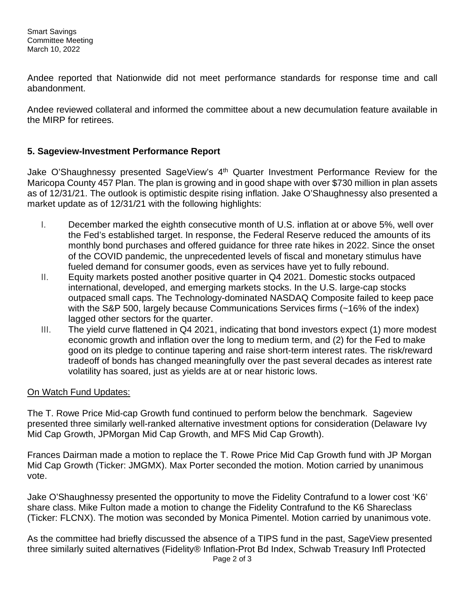Andee reported that Nationwide did not meet performance standards for response time and call abandonment.

Andee reviewed collateral and informed the committee about a new decumulation feature available in the MIRP for retirees.

# **5. Sageview-Investment Performance Report**

Jake O'Shaughnessy presented SageView's 4<sup>th</sup> Quarter Investment Performance Review for the Maricopa County 457 Plan. The plan is growing and in good shape with over \$730 million in plan assets as of 12/31/21. The outlook is optimistic despite rising inflation. Jake O'Shaughnessy also presented a market update as of 12/31/21 with the following highlights:

- I. December marked the eighth consecutive month of U.S. inflation at or above 5%, well over the Fed's established target. In response, the Federal Reserve reduced the amounts of its monthly bond purchases and offered guidance for three rate hikes in 2022. Since the onset of the COVID pandemic, the unprecedented levels of fiscal and monetary stimulus have fueled demand for consumer goods, even as services have yet to fully rebound.
- II. Equity markets posted another positive quarter in Q4 2021. Domestic stocks outpaced international, developed, and emerging markets stocks. In the U.S. large-cap stocks outpaced small caps. The Technology-dominated NASDAQ Composite failed to keep pace with the S&P 500, largely because Communications Services firms (~16% of the index) lagged other sectors for the quarter.
- III. The yield curve flattened in Q4 2021, indicating that bond investors expect (1) more modest economic growth and inflation over the long to medium term, and (2) for the Fed to make good on its pledge to continue tapering and raise short-term interest rates. The risk/reward tradeoff of bonds has changed meaningfully over the past several decades as interest rate volatility has soared, just as yields are at or near historic lows.

# On Watch Fund Updates:

The T. Rowe Price Mid-cap Growth fund continued to perform below the benchmark. Sageview presented three similarly well-ranked alternative investment options for consideration (Delaware Ivy Mid Cap Growth, JPMorgan Mid Cap Growth, and MFS Mid Cap Growth).

Frances Dairman made a motion to replace the T. Rowe Price Mid Cap Growth fund with JP Morgan Mid Cap Growth (Ticker: JMGMX). Max Porter seconded the motion. Motion carried by unanimous vote.

Jake O'Shaughnessy presented the opportunity to move the Fidelity Contrafund to a lower cost 'K6' share class. Mike Fulton made a motion to change the Fidelity Contrafund to the K6 Shareclass (Ticker: FLCNX). The motion was seconded by Monica Pimentel. Motion carried by unanimous vote.

As the committee had briefly discussed the absence of a TIPS fund in the past, SageView presented three similarly suited alternatives (Fidelity® Inflation-Prot Bd Index, Schwab Treasury Infl Protected